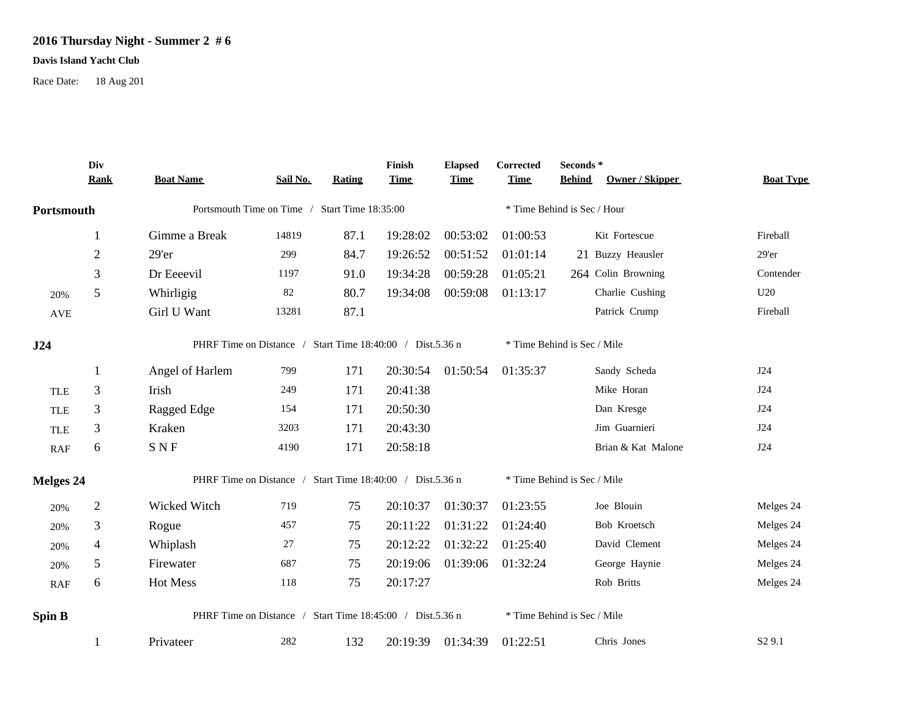## **2016 Thursday Night - Summer 2 # 6**

## **Davis Island Yacht Club**

Race Date: 18 Aug 201

|            | Div<br><b>Rank</b>                                                            | <b>Boat Name</b>                                          | Sail No.                                      | <b>Rating</b> | Finish<br><b>Time</b> | <b>Elapsed</b><br><b>Time</b> | Corrected<br><b>Time</b> | Seconds *<br><b>Owner / Skipper</b><br><b>Behind</b> | <b>Boat Type</b>   |  |  |
|------------|-------------------------------------------------------------------------------|-----------------------------------------------------------|-----------------------------------------------|---------------|-----------------------|-------------------------------|--------------------------|------------------------------------------------------|--------------------|--|--|
| Portsmouth |                                                                               |                                                           | Portsmouth Time on Time / Start Time 18:35:00 |               |                       |                               |                          | * Time Behind is Sec / Hour                          |                    |  |  |
|            |                                                                               |                                                           |                                               |               |                       |                               |                          |                                                      |                    |  |  |
|            | $\perp$                                                                       | Gimme a Break                                             | 14819                                         | 87.1          | 19:28:02              | 00:53:02                      | 01:00:53                 | Kit Fortescue                                        | Fireball           |  |  |
|            | $\mathfrak{2}$                                                                | 29'er                                                     | 299                                           | 84.7          | 19:26:52              | 00:51:52                      | 01:01:14                 | 21 Buzzy Heausler                                    | 29'er              |  |  |
|            | 3                                                                             | Dr Eeeevil                                                | 1197                                          | 91.0          | 19:34:28              | 00:59:28                      | 01:05:21                 | 264 Colin Browning                                   | Contender          |  |  |
| 20%        | 5                                                                             | Whirligig                                                 | 82                                            | 80.7          | 19:34:08              | 00:59:08                      | 01:13:17                 | Charlie Cushing                                      | U20                |  |  |
| <b>AVE</b> |                                                                               | Girl U Want                                               | 13281                                         | 87.1          |                       |                               |                          | Patrick Crump                                        | Fireball           |  |  |
| J24        |                                                                               | PHRF Time on Distance / Start Time 18:40:00 / Dist.5.36 n |                                               |               |                       |                               |                          | * Time Behind is Sec / Mile                          |                    |  |  |
|            | $\perp$                                                                       | Angel of Harlem                                           | 799                                           | 171           | 20:30:54              | 01:50:54                      | 01:35:37                 | Sandy Scheda                                         | J24                |  |  |
| <b>TLE</b> | 3                                                                             | Irish                                                     | 249                                           | 171           | 20:41:38              |                               |                          | Mike Horan                                           | J24                |  |  |
| <b>TLE</b> | 3                                                                             | Ragged Edge                                               | 154                                           | 171           | 20:50:30              |                               |                          | Dan Kresge                                           | J24                |  |  |
| <b>TLE</b> | 3                                                                             | Kraken                                                    | 3203                                          | 171           | 20:43:30              |                               |                          | Jim Guarnieri                                        | J24                |  |  |
| RAF        | 6                                                                             | <b>SNF</b>                                                | 4190                                          | 171           | 20:58:18              |                               |                          | Brian & Kat Malone                                   | J24                |  |  |
|            | PHRF Time on Distance / Start Time 18:40:00 / Dist.5.36 n<br><b>Melges 24</b> |                                                           |                                               |               |                       |                               |                          | * Time Behind is Sec / Mile                          |                    |  |  |
| 20%        | $\boldsymbol{2}$                                                              | Wicked Witch                                              | 719                                           | 75            | 20:10:37              | 01:30:37                      | 01:23:55                 | Joe Blouin                                           | Melges 24          |  |  |
| 20%        | 3                                                                             | Rogue                                                     | 457                                           | 75            | 20:11:22              | 01:31:22                      | 01:24:40                 | Bob Kroetsch                                         | Melges 24          |  |  |
| 20%        | 4                                                                             | Whiplash                                                  | 27                                            | 75            | 20:12:22              | 01:32:22                      | 01:25:40                 | David Clement                                        | Melges 24          |  |  |
| 20%        | 5                                                                             | Firewater                                                 | 687                                           | 75            | 20:19:06              | 01:39:06                      | 01:32:24                 | George Haynie                                        | Melges 24          |  |  |
| RAF        | 6                                                                             | Hot Mess                                                  | 118                                           | 75            | 20:17:27              |                               |                          | Rob Britts                                           | Melges 24          |  |  |
| Spin B     |                                                                               | PHRF Time on Distance / Start Time 18:45:00 / Dist.5.36 n |                                               |               |                       |                               |                          | * Time Behind is Sec / Mile                          |                    |  |  |
|            |                                                                               | Privateer                                                 | 282                                           | 132           | 20:19:39              | 01:34:39                      | 01:22:51                 | Chris Jones                                          | S <sub>2</sub> 9.1 |  |  |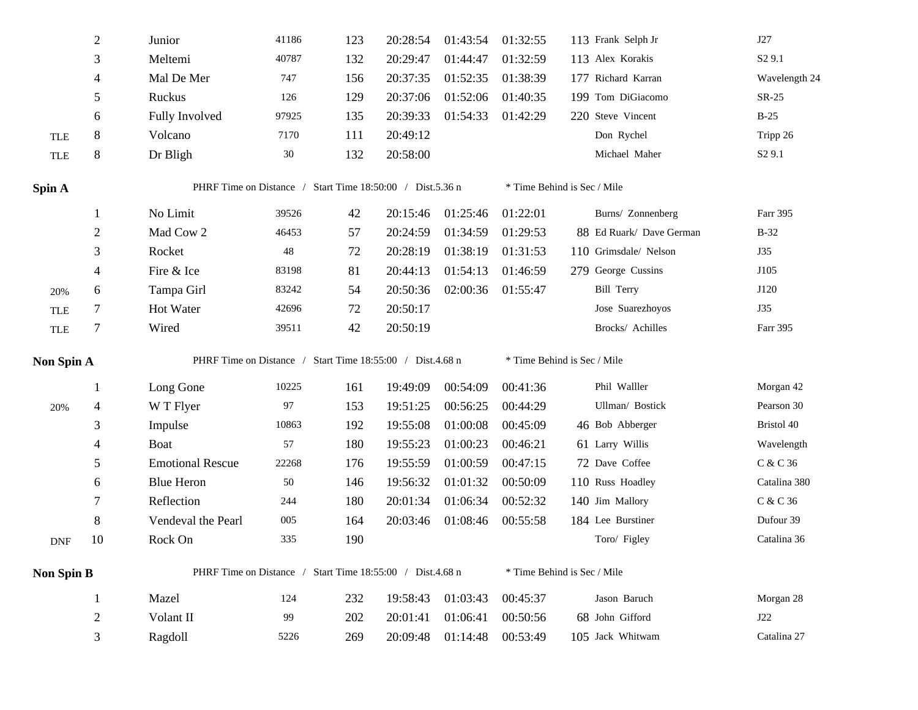|                   | $\overline{2}$ | Junior                                                    | 41186  | 123 | 20:28:54 | 01:43:54 | 01:32:55 | 113 Frank Selph Jr          | J27                |  |
|-------------------|----------------|-----------------------------------------------------------|--------|-----|----------|----------|----------|-----------------------------|--------------------|--|
|                   | 3              | Meltemi                                                   | 40787  | 132 | 20:29:47 | 01:44:47 | 01:32:59 | 113 Alex Korakis            | S <sub>2</sub> 9.1 |  |
|                   | 4              | Mal De Mer                                                | 747    | 156 | 20:37:35 | 01:52:35 | 01:38:39 | 177 Richard Karran          | Wavelength 24      |  |
|                   | 5              | Ruckus                                                    | 126    | 129 | 20:37:06 | 01:52:06 | 01:40:35 | 199 Tom DiGiacomo           | $SR-25$            |  |
|                   | 6              | Fully Involved                                            | 97925  | 135 | 20:39:33 | 01:54:33 | 01:42:29 | 220 Steve Vincent           | $B-25$             |  |
| <b>TLE</b>        | 8              | Volcano                                                   | 7170   | 111 | 20:49:12 |          |          | Don Rychel                  | Tripp 26           |  |
| TLE               | $8\,$          | Dr Bligh                                                  | $30\,$ | 132 | 20:58:00 |          |          | Michael Maher               | S <sub>2</sub> 9.1 |  |
| Spin A            |                | PHRF Time on Distance / Start Time 18:50:00 / Dist.5.36 n |        |     |          |          |          | * Time Behind is Sec / Mile |                    |  |
|                   | $\mathbf{1}$   | No Limit                                                  | 39526  | 42  | 20:15:46 | 01:25:46 | 01:22:01 | Burns/ Zonnenberg           | Farr 395           |  |
|                   | $\overline{2}$ | Mad Cow 2                                                 | 46453  | 57  | 20:24:59 | 01:34:59 | 01:29:53 | 88 Ed Ruark/ Dave German    | $B-32$             |  |
|                   | 3              | Rocket                                                    | 48     | 72  | 20:28:19 | 01:38:19 | 01:31:53 | 110 Grimsdale/ Nelson       | J35                |  |
|                   | 4              | Fire & Ice                                                | 83198  | 81  | 20:44:13 | 01:54:13 | 01:46:59 | 279 George Cussins          | J105               |  |
| 20%               | 6              | Tampa Girl                                                | 83242  | 54  | 20:50:36 | 02:00:36 | 01:55:47 | <b>Bill Terry</b>           | J120               |  |
| <b>TLE</b>        | $\tau$         | Hot Water                                                 | 42696  | 72  | 20:50:17 |          |          | Jose Suarezhoyos            | <b>J35</b>         |  |
| TLE               | $\tau$         | Wired                                                     | 39511  | 42  | 20:50:19 |          |          | Brocks/ Achilles            | Farr 395           |  |
|                   |                |                                                           |        |     |          |          |          |                             |                    |  |
| Non Spin A        |                | PHRF Time on Distance / Start Time 18:55:00 / Dist.4.68 n |        |     |          |          |          | * Time Behind is Sec / Mile |                    |  |
|                   | 1              | Long Gone                                                 | 10225  | 161 | 19:49:09 | 00:54:09 | 00:41:36 | Phil Walller                | Morgan 42          |  |
| 20%               | 4              | W T Flyer                                                 | 97     | 153 | 19:51:25 | 00:56:25 | 00:44:29 | Ullman/ Bostick             | Pearson 30         |  |
|                   | 3              | Impulse                                                   | 10863  | 192 | 19:55:08 | 01:00:08 | 00:45:09 | 46 Bob Abberger             | Bristol 40         |  |
|                   | 4              | <b>Boat</b>                                               | 57     | 180 | 19:55:23 | 01:00:23 | 00:46:21 | 61 Larry Willis             | Wavelength         |  |
|                   | 5              | <b>Emotional Rescue</b>                                   | 22268  | 176 | 19:55:59 | 01:00:59 | 00:47:15 | 72 Dave Coffee              | C & C 36           |  |
|                   | 6              | <b>Blue Heron</b>                                         | 50     | 146 | 19:56:32 | 01:01:32 | 00:50:09 | 110 Russ Hoadley            | Catalina 380       |  |
|                   | 7              | Reflection                                                | 244    | 180 | 20:01:34 | 01:06:34 | 00:52:32 | 140 Jim Mallory             | C & C 36           |  |
|                   | 8              | Vendeval the Pearl                                        | 005    | 164 | 20:03:46 | 01:08:46 | 00:55:58 | 184 Lee Burstiner           | Dufour 39          |  |
| <b>DNF</b>        | 10             | Rock On                                                   | 335    | 190 |          |          |          | Toro/ Figley                | Catalina 36        |  |
| <b>Non Spin B</b> |                | PHRF Time on Distance / Start Time 18:55:00 / Dist.4.68 n |        |     |          |          |          | * Time Behind is Sec / Mile |                    |  |
|                   | $\mathbf{1}$   | Mazel                                                     | 124    | 232 | 19:58:43 | 01:03:43 | 00:45:37 | Jason Baruch                | Morgan 28          |  |
|                   | $\overline{2}$ | Volant II                                                 | 99     | 202 | 20:01:41 | 01:06:41 | 00:50:56 | 68 John Gifford             | J22                |  |